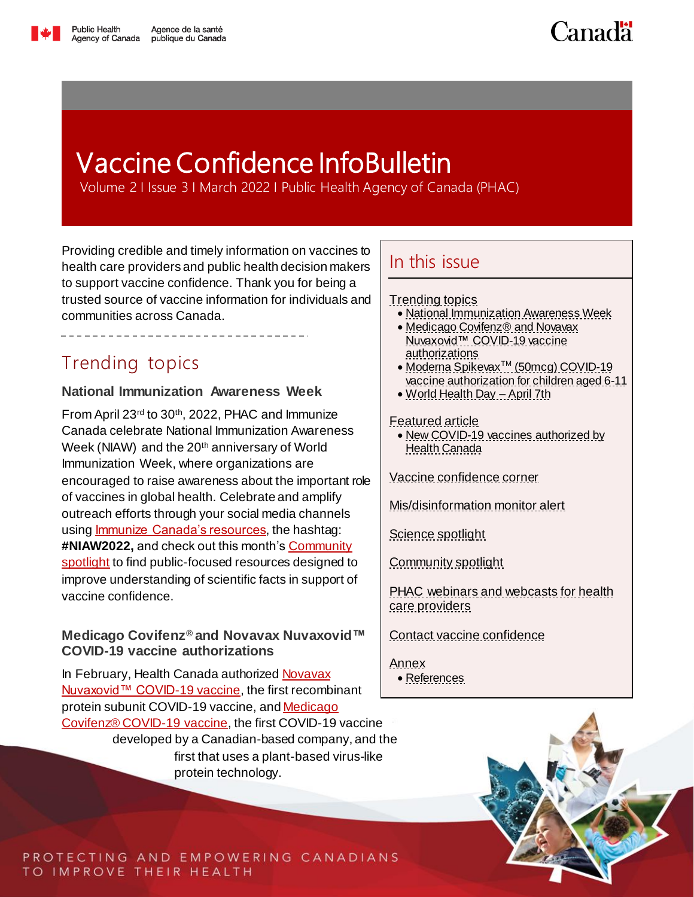

Canadä

# <span id="page-0-3"></span>Vaccine Confidence InfoBulletin

Volume 2 I Issue 3 I March 2022 I Public Health Agency of Canada (PHAC)

Providing credible and timely information on vaccines to health care providers and public health decision makers to support vaccine confidence. Thank you for being a trusted source of vaccine information for individuals and communities across Canada.

## <span id="page-0-0"></span>Trending topics

### <span id="page-0-1"></span>**National Immunization Awareness Week**

From April 23rd to 30th, 2022, PHAC and Immunize Canada celebrate National Immunization Awareness Week (NIAW) and the 20<sup>th</sup> anniversary of World [Immunization Week,](https://www.who.int/campaigns/world-immunization-week/world-immunization-week-2022) where organizations are encouraged to raise awareness about the important role of vaccines in global health. Celebrate and amplify outreach efforts through your social media channels using **Immunize Canada's resources**, the hashtag: **#NIAW2022,** and check out this month'[s Community](#page-8-0)  [spotlight](#page-8-0) to find public-focused resources designed to improve understanding of scientific facts in support of vaccine confidence.

#### <span id="page-0-2"></span>**Medicago Covifenz® and Novavax Nuvaxovid™ COVID-19 vaccine authorizations**

In February, Health Canada authorized Novavax [Nuvaxovid™ COVID-19 vaccine,](https://bit.ly/EN-PHAC-Novavax) the first recombinant protein subunit COVID-19 vaccine, an[d Medicago](https://bit.ly/EN-PHAC-Medicago)  [Covifenz® COVID-19 vaccine](https://bit.ly/EN-PHAC-Medicago), the first COVID-19 vaccine developed by a Canadian-based company, and the first that uses a plant-based virus-like protein technology.

### In this issue

#### [Trending topics](#page-0-0)

- [National Immunization Awareness Week](#page-0-1)
- [Medicago Covifenz® and Novavax](#page-0-2)  [Nuvaxovid™ COVID-19 vaccine](#page-0-2)  [authorizations](#page-0-2)
- Moderna Spikevax<sup>™</sup> (50mcg) COVID-19 [vaccine authorization for children aged 6-11](#page-1-0)
- [World Health Day –](#page-1-1) April 7th

#### [Featured article](#page-1-2)

• New COVID-19 vaccines authorized by [Health Canada](#page-1-3)

[Vaccine confidence corner](#page-4-0)

[Mis/disinformation monitor alert](#page-5-0)

[Science spotlight](#page-6-0)

[Community spotlight](#page-8-0)

[PHAC webinars and webcasts for health](#page-9-0)  [care providers](#page-9-0)

[Contact vaccine confidence](#page-10-0)

[Annex](#page-10-1)

**[References](#page-10-2)** 



PROTECTING AND EMPOWERING CANADIANS TO IMPROVE THEIR HEALTH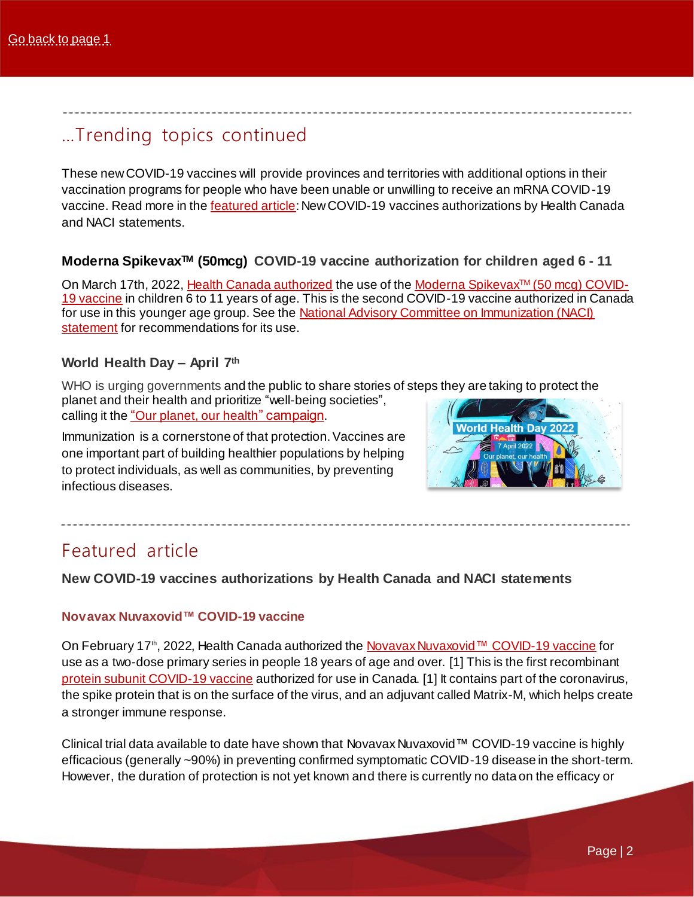### …Trending topics continued

These new COVID-19 vaccines will provide provinces and territories with additional options in their vaccination programs for people who have been unable or unwilling to receive an mRNA COVID-19 vaccine. Read more in th[e featured article](#page-1-2): New COVID-19 vaccines authorizations by Health Canada and NACI statements.

#### <span id="page-1-0"></span>**Moderna SpikevaxTM (50mcg) COVID-19 vaccine authorization for children aged 6 - 11**

On March 17th, 2022[, Health Canada authorized](https://bit.ly/EN-HC-Auth-Moderna6-11) the use of th[e Moderna Spikevax](https://bit.ly/EN-PHAC-Moderna-ProductDetails)™ (50 mcg) COVID-[19 vaccine](https://bit.ly/EN-PHAC-Moderna-ProductDetails) in children 6 to 11 years of age. This is the second COVID-19 vaccine authorized in Canada for use in this younger age group. See the [National Advisory Committee on Immunization \(NACI\)](https://bit.ly/EN-PHAC-NACI-Moderna6-11)  [statement](https://bit.ly/EN-PHAC-NACI-Moderna6-11) for recommendations for its use.

#### <span id="page-1-1"></span>**World Health Day – April 7th**

WHO is urging governments and the public to share stories of steps they are taking to protect the

planet and their health and prioritize "well-being societies", calling it the "[Our planet, our health](https://bit.ly/EN-WHO-WorldHealthDay)" campaign.

Immunization is a cornerstone of that protection. Vaccines are one important part of building healthier populations by helping to protect individuals, as well as communities, by preventing infectious diseases.



### <span id="page-1-2"></span>Featured article

#### <span id="page-1-3"></span>**New COVID-19 vaccines authorizations by Health Canada and NACI statements**

#### **Novavax Nuvaxovid™ COVID-19 vaccine**

On February 17<sup>th</sup>, 2022, Health Canada authorized th[e Novavax Nuvaxovid](https://bit.ly/EN-PHAC-Novavax-ProductDetails)™ COVID-19 vaccine for use as a two-dose primary series in people 18 years of age and over. [1] This is the first recombinant [protein subunit COVID-19 vaccine](https://bit.ly/EN_PHAC-C19vaccines-ProteinSubunit) authorized for use in Canada. [1] It contains part of the coronavirus, the spike protein that is on the surface of the virus, and an adjuvant called Matrix-M, which helps create a stronger immune response.

Clinical trial data available to date have shown that Novavax Nuvaxovid™ COVID-19 vaccine is highly efficacious (generally ~90%) in preventing confirmed symptomatic COVID-19 disease in the short-term. However, the duration of protection is not yet known and there is currently no data on the efficacy or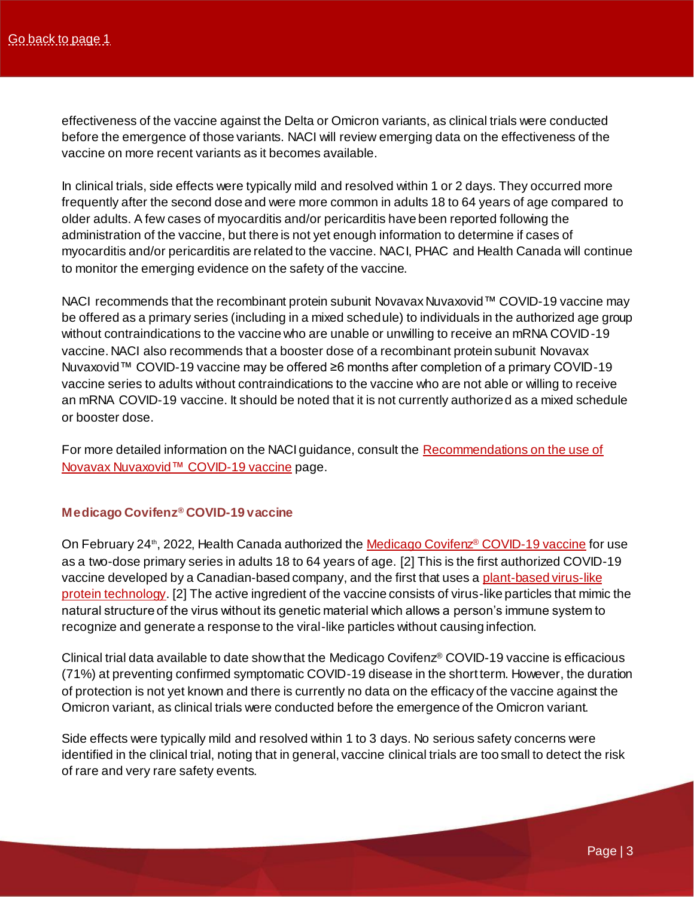effectiveness of the vaccine against the Delta or Omicron variants, as clinical trials were conducted before the emergence of those variants. NACI will review emerging data on the effectiveness of the vaccine on more recent variants as it becomes available.

In clinical trials, side effects were typically mild and resolved within 1 or 2 days. They occurred more frequently after the second dose and were more common in adults 18 to 64 years of age compared to older adults. A few cases of myocarditis and/or pericarditis have been reported following the administration of the vaccine, but there is not yet enough information to determine if cases of myocarditis and/or pericarditis are related to the vaccine. NACI, PHAC and Health Canada will continue to monitor the emerging evidence on the safety of the vaccine.

NACI recommends that the recombinant protein subunit Novavax Nuvaxovid™ COVID-19 vaccine may be offered as a primary series (including in a mixed schedule) to individuals in the authorized age group without contraindications to the vaccine who are unable or unwilling to receive an mRNA COVID-19 vaccine. NACI also recommends that a booster dose of a recombinant protein subunit Novavax Nuvaxovid™ COVID-19 vaccine may be offered ≥6 months after completion of a primary COVID-19 vaccine series to adults without contraindications to the vaccine who are not able or willing to receive an mRNA COVID-19 vaccine. It should be noted that it is not currently authorized as a mixed schedule or booster dose.

For more detailed information on the NACI guidance, consult th[e Recommendations on the use of](https://bit.ly/EN-PHAC-Novavax-Use)  [Novavax Nuvaxovid](https://bit.ly/EN-PHAC-Novavax-Use)™ COVID-19 vaccine page.

#### **Medicago Covifenz® COVID-19 vaccine**

On February 24<sup>th</sup>, 2022, Health Canada authorized the [Medicago Covifenz](https://bit.ly/EN-PHAC-Medicago-ProductDetails)<sup>®</sup> COVID-19 vaccine for use as a two-dose primary series in adults 18 to 64 years of age. [2] This is the first authorized COVID-19 vaccine developed by a Canadian-based company, and the first that uses [a plant-based virus-like](https://bit.ly/EN-PHAC-C19vaccines-PLANT)  [protein technology](https://bit.ly/EN-PHAC-C19vaccines-PLANT). [2] The active ingredient of the vaccine consists of virus-like particles that mimic the natural structure of the virus without its genetic material which allows a person's immune system to recognize and generate a response to the viral-like particles without causing infection.

Clinical trial data available to date show that the Medicago Covifenz® COVID-19 vaccine is efficacious (71%) at preventing confirmed symptomatic COVID-19 disease in the short term. However, the duration of protection is not yet known and there is currently no data on the efficacy of the vaccine against the Omicron variant, as clinical trials were conducted before the emergence of the Omicron variant.

Side effects were typically mild and resolved within 1 to 3 days. No serious safety concerns were identified in the clinical trial, noting that in general, vaccine clinical trials are too small to detect the risk of rare and very rare safety events.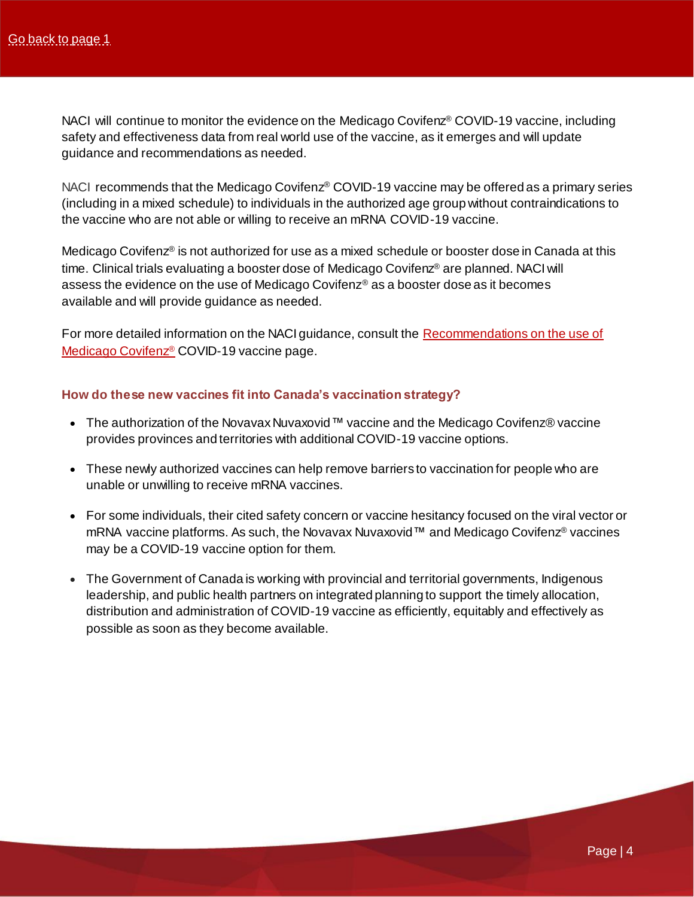NACI will continue to monitor the evidence on the Medicago Covifenz® COVID-19 vaccine, including safety and effectiveness data from real world use of the vaccine, as it emerges and will update guidance and recommendations as needed.

NACI recommends that the Medicago Covifenz<sup>®</sup> COVID-19 vaccine may be offered as a primary series (including in a mixed schedule) to individuals in the authorized age group without contraindications to the vaccine who are not able or willing to receive an mRNA COVID-19 vaccine.

Medicago Covifenz® is not authorized for use as a mixed schedule or booster dose in Canada at this time. Clinical trials evaluating a booster dose of Medicago Covifenz® are planned. NACI will assess the evidence on the use of Medicago Covifenz<sup>®</sup> as a booster dose as it becomes available and will provide guidance as needed.

For more detailed information on the NACI guidance, consult the Recommendations on the use of [Medicago Covifenz](https://bit.ly/EN-PHAC-NACI-MedicagoUSE)® COVID-19 vaccine page.

#### **How do these new vaccines fit into Canada's vaccination strategy?**

- The authorization of the Novavax Nuvaxovid™ vaccine and the Medicago Covifenz® vaccine provides provinces and territories with additional COVID-19 vaccine options.
- These newly authorized vaccines can help remove barriers to vaccination for people who are unable or unwilling to receive mRNA vaccines.
- For some individuals, their cited safety concern or vaccine hesitancy focused on the viral vector or mRNA vaccine platforms. As such, the Novavax Nuvaxovid™ and Medicago Covifenz® vaccines may be a COVID-19 vaccine option for them.
- The Government of Canada is working with provincial and territorial governments, Indigenous leadership, and public health partners on integrated planning to support the timely allocation, distribution and administration of COVID-19 vaccine as efficiently, equitably and effectively as possible as soon as they become available.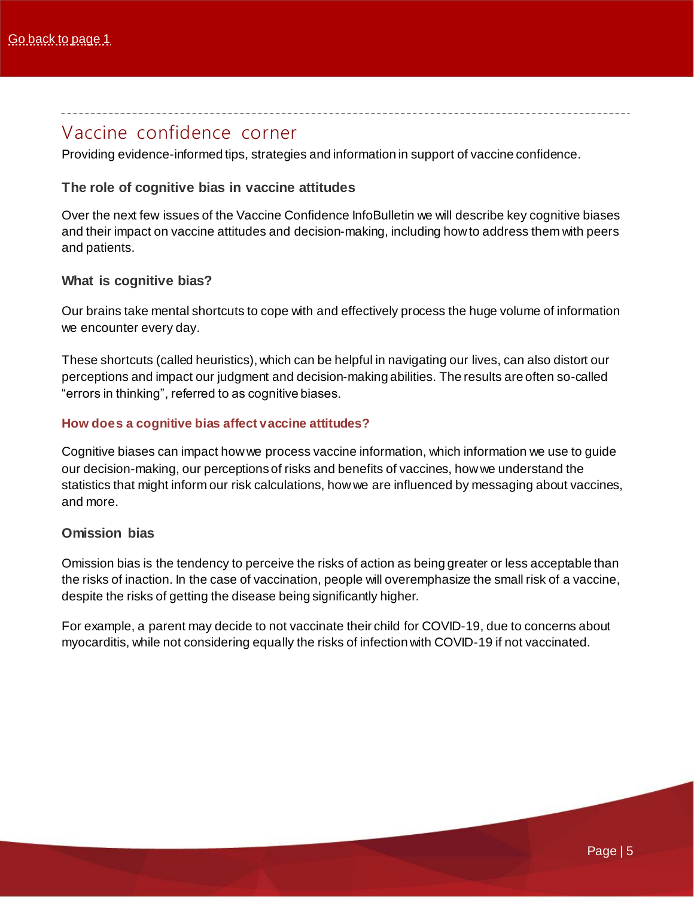### <span id="page-4-0"></span>Vaccine confidence corner

Providing evidence-informed tips, strategies and information in support of vaccine confidence.

#### **The role of cognitive bias in vaccine attitudes**

Over the next few issues of the Vaccine Confidence InfoBulletin we will describe key cognitive biases and their impact on vaccine attitudes and decision-making, including how to address them with peers and patients.

#### **What is cognitive bias?**

Our brains take mental shortcuts to cope with and effectively process the huge volume of information we encounter every day.

These shortcuts (called heuristics), which can be helpful in navigating our lives, can also distort our perceptions and impact our judgment and decision-making abilities. The results are often so-called "errors in thinking", referred to as cognitive biases.

#### **How does a cognitive bias affect vaccine attitudes?**

Cognitive biases can impact how we process vaccine information, which information we use to guide our decision-making, our perceptions of risks and benefits of vaccines, how we understand the statistics that might inform our risk calculations, how we are influenced by messaging about vaccines, and more.

#### **Omission bias**

Omission bias is the tendency to perceive the risks of action as being greater or less acceptable than the risks of inaction. In the case of vaccination, people will overemphasize the small risk of a vaccine, despite the risks of getting the disease being significantly higher.

For example, a parent may decide to not vaccinate their child for COVID-19, due to concerns about myocarditis, while not considering equally the risks of infection with COVID-19 if not vaccinated.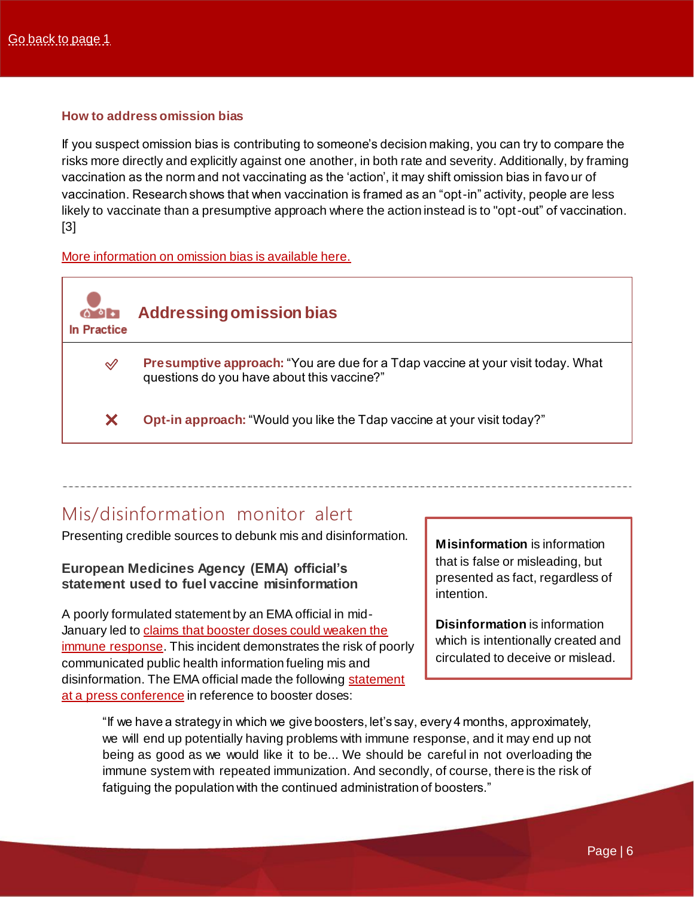#### **How to address omission bias**

If you suspect omission bias is contributing to someone's decision making, you can try to compare the risks more directly and explicitly against one another, in both rate and severity. Additionally, by framing vaccination as the norm and not vaccinating as the 'action', it may shift omission bias in favour of vaccination. Research shows that when vaccination is framed as an "opt-in" activity, people are less likely to vaccinate than a presumptive approach where the action instead is to "opt-out" of vaccination. [3]

#### [More information on omission bias is available here.](https://bit.ly/ENONLY-EN-DecisionLabe-OmissionBias)



### Mis/disinformation monitor alert

Presenting credible sources to debunk mis and disinformation.

#### **European Medicines Agency (EMA) official's statement used to fuel vaccine misinformation**

A poorly formulated statement by an EMA official in mid-January led to [claims that booster doses could weaken the](https://bit.ly/ENONLY-EN-MIDI-BoostersImmuneSystem)  [immune response](https://bit.ly/ENONLY-EN-MIDI-BoostersImmuneSystem). This incident demonstrates the risk of poorly communicated public health information fueling mis and disinformation. The EMA official made the followin[g statement](https://bit.ly/ENONLY-EN-EMA-MIDI-PressStatement)  [at a press conference](https://bit.ly/ENONLY-EN-EMA-MIDI-PressStatement) in reference to booster doses:

<span id="page-5-0"></span>**Misinformation** is information that is false or misleading, but presented as fact, regardless of intention.

**Disinformation** is information which is intentionally created and circulated to deceive or mislead.

"If we have a strategy in which we give boosters, let's say, every 4 months, approximately, we will end up potentially having problems with immune response, and it may end up not being as good as we would like it to be... We should be careful in not overloading the immune system with repeated immunization. And secondly, of course, there is the risk of fatiguing the population with the continued administration of boosters."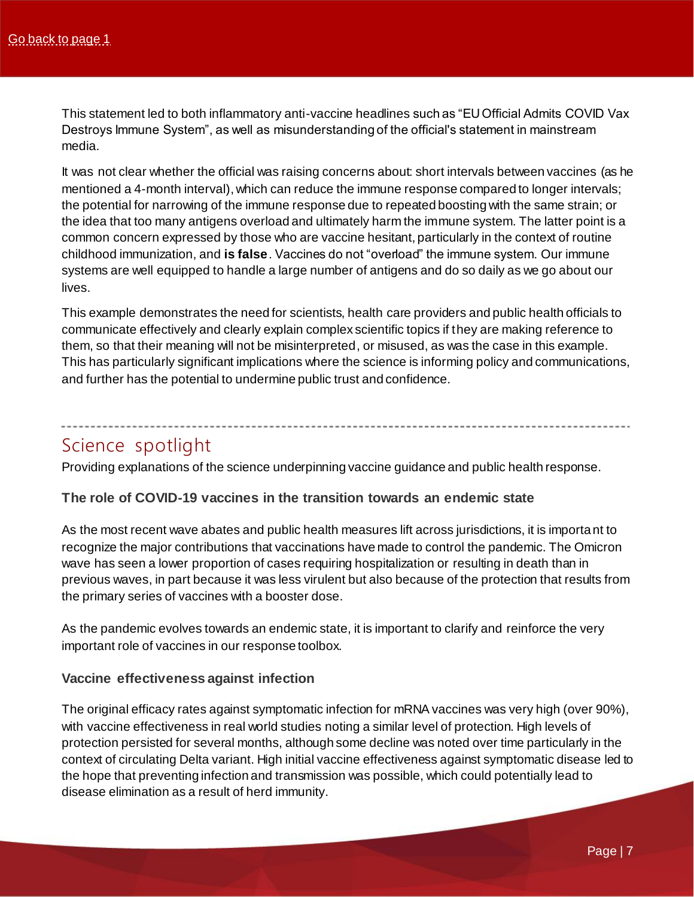This statement led to both inflammatory anti-vaccine headlines such as "EU Official Admits COVID Vax Destroys Immune System", as well as misunderstanding of the official's statement in mainstream media.

It was not clear whether the official was raising concerns about: short intervals between vaccines (as he mentioned a 4-month interval), which can reduce the immune response compared to longer intervals; the potential for narrowing of the immune response due to repeated boosting with the same strain; or the idea that too many antigens overload and ultimately harm the immune system. The latter point is a common concern expressed by those who are vaccine hesitant, particularly in the context of routine childhood immunization, and **is false**. Vaccines do not "overload" the immune system. Our immune systems are well equipped to handle a large number of antigens and do so daily as we go about our lives.

This example demonstrates the need for scientists, health care providers and public health officials to communicate effectively and clearly explain complex scientific topics if they are making reference to them, so that their meaning will not be misinterpreted, or misused, as was the case in this example. This has particularly significant implications where the science is informing policy and communications, and further has the potential to undermine public trust and confidence.

### <span id="page-6-0"></span>Science spotlight

Providing explanations of the science underpinning vaccine guidance and public health response.

#### **The role of COVID-19 vaccines in the transition towards an endemic state**

As the most recent wave abates and public health measures lift across jurisdictions, it is important to recognize the major contributions that vaccinations have made to control the pandemic. The Omicron wave has seen a lower proportion of cases requiring hospitalization or resulting in death than in previous waves, in part because it was less virulent but also because of the protection that results from the primary series of vaccines with a booster dose.

As the pandemic evolves towards an endemic state, it is important to clarify and reinforce the very important role of vaccines in our response toolbox.

#### **Vaccine effectiveness against infection**

The original efficacy rates against symptomatic infection for mRNA vaccines was very high (over 90%), with vaccine effectiveness in real world studies noting a similar level of protection. High levels of protection persisted for several months, although some decline was noted over time particularly in the context of circulating Delta variant. High initial vaccine effectiveness against symptomatic disease led to the hope that preventing infection and transmission was possible, which could potentially lead to disease elimination as a result of herd immunity.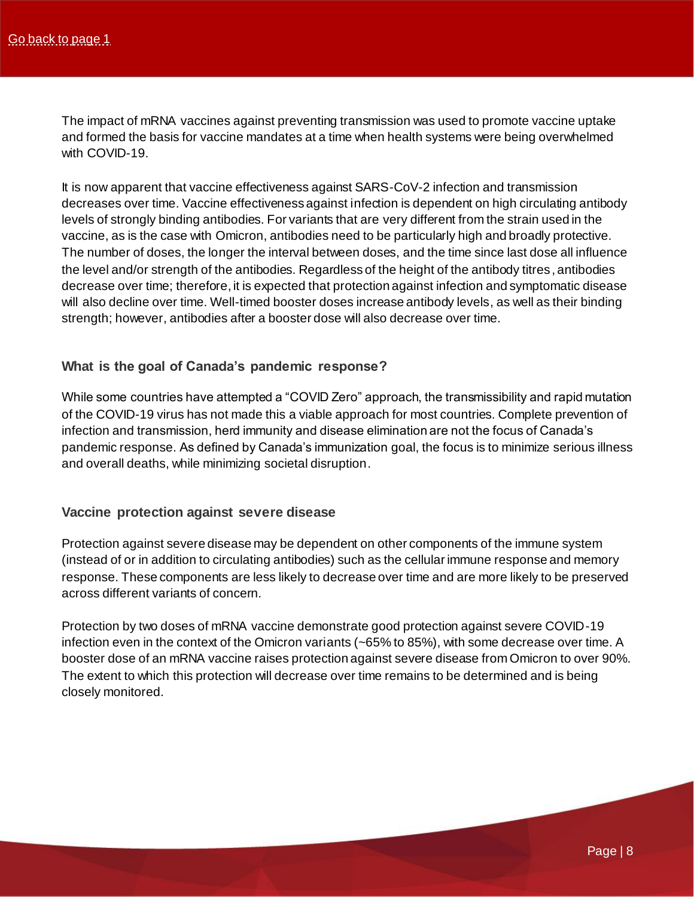The impact of mRNA vaccines against preventing transmission was used to promote vaccine uptake and formed the basis for vaccine mandates at a time when health systems were being overwhelmed with COVID-19.

It is now apparent that vaccine effectiveness against SARS-CoV-2 infection and transmission decreases over time. Vaccine effectiveness against infection is dependent on high circulating antibody levels of strongly binding antibodies. For variants that are very different from the strain used in the vaccine, as is the case with Omicron, antibodies need to be particularly high and broadly protective. The number of doses, the longer the interval between doses, and the time since last dose all influence the level and/or strength of the antibodies. Regardless of the height of the antibody titres , antibodies decrease over time; therefore, it is expected that protection against infection and symptomatic disease will also decline over time. Well-timed booster doses increase antibody levels, as well as their binding strength; however, antibodies after a booster dose will also decrease over time.

#### **What is the goal of Canada's pandemic response?**

While some countries have attempted a "COVID Zero" approach, the transmissibility and rapid mutation of the COVID-19 virus has not made this a viable approach for most countries. Complete prevention of infection and transmission, herd immunity and disease elimination are not the focus of Canada's pandemic response. As defined by Canada's immunization goal, the focus is to minimize serious illness and overall deaths, while minimizing societal disruption.

#### **Vaccine protection against severe disease**

Protection against severe disease may be dependent on other components of the immune system (instead of or in addition to circulating antibodies) such as the cellular immune response and memory response. These components are less likely to decrease over time and are more likely to be preserved across different variants of concern.

Protection by two doses of mRNA vaccine demonstrate good protection against severe COVID-19 infection even in the context of the Omicron variants (~65% to 85%), with some decrease over time. A booster dose of an mRNA vaccine raises protection against severe disease from Omicron to over 90%. The extent to which this protection will decrease over time remains to be determined and is being closely monitored.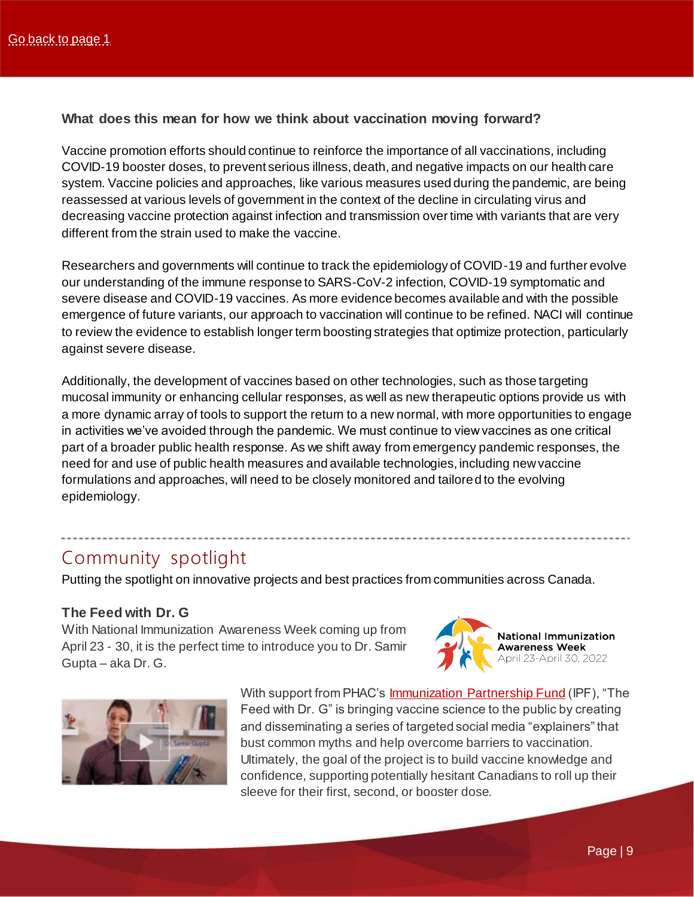#### **What does this mean for how we think about vaccination moving forward?**

Vaccine promotion efforts should continue to reinforce the importance of all vaccinations, including COVID-19 booster doses, to prevent serious illness, death, and negative impacts on our health care system. Vaccine policies and approaches, like various measures used during the pandemic, are being reassessed at various levels of government in the context of the decline in circulating virus and decreasing vaccine protection against infection and transmission over time with variants that are very different from the strain used to make the vaccine.

Researchers and governments will continue to track the epidemiology of COVID-19 and further evolve our understanding of the immune response to SARS-CoV-2 infection, COVID-19 symptomatic and severe disease and COVID-19 vaccines. As more evidence becomes available and with the possible emergence of future variants, our approach to vaccination will continue to be refined. NACI will continue to review the evidence to establish longer term boosting strategies that optimize protection, particularly against severe disease.

Additionally, the development of vaccines based on other technologies, such as those targeting mucosal immunity or enhancing cellular responses, as well as new therapeutic options provide us with a more dynamic array of tools to support the return to a new normal, with more opportunities to engage in activities we've avoided through the pandemic. We must continue to view vaccines as one critical part of a broader public health response. As we shift away from emergency pandemic responses, the need for and use of public health measures and available technologies, including new vaccine formulations and approaches, will need to be closely monitored and tailored to the evolving epidemiology.

### Community spotlight

Putting the spotlight on innovative projects and best practices from communities across Canada.

#### **The Feed with Dr. G**

With National Immunization Awareness Week coming up from April 23 - 30, it is the perfect time to introduce you to Dr. Samir Gupta – aka Dr. G.





<span id="page-8-0"></span>With support from PHAC's [Immunization Partnership Fund](https://bit.ly/EN-PHAC-IPF-Main) (IPF), "The Feed with Dr. G" is bringing vaccine science to the public by creating and disseminating a series of targeted social media "explainers" that bust common myths and help overcome barriers to vaccination. Ultimately, the goal of the project is to build vaccine knowledge and confidence, supporting potentially hesitant Canadians to roll up their sleeve for their first, second, or booster dose.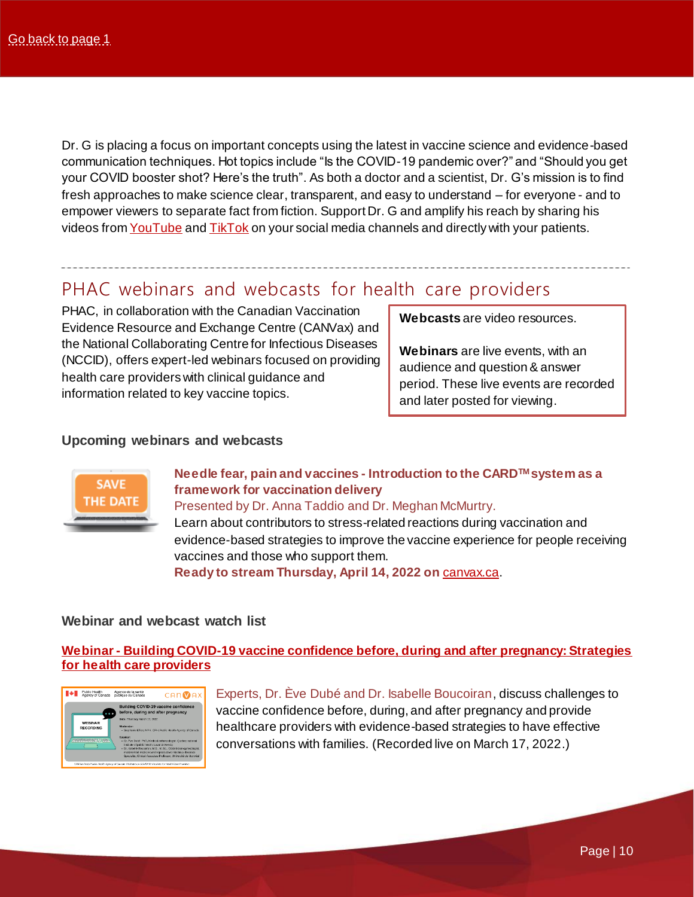Dr. G is placing a focus on important concepts using the latest in vaccine science and evidence-based communication techniques. Hot topics include "Is the COVID-19 pandemic over?" and "Should you get your COVID booster shot? Here's the truth". As both a doctor and a scientist, Dr. G's mission is to find fresh approaches to make science clear, transparent, and easy to understand – for everyone - and to empower viewers to separate fact from fiction. Support Dr. G and amplify his reach by sharing his videos fro[m YouTube](https://bit.ly/ENONLY-EN-YouTube-TheFeedwDrG) an[d TikTok](https://bit.ly/ENONLY-EN-TikTok-TheFeedwDrG) on your social media channels and directly with your patients.

### PHAC webinars and webcasts for health care providers

PHAC, in collaboration with the Canadian Vaccination Evidence Resource and Exchange Centre (CANVax) and the National Collaborating Centre for Infectious Diseases (NCCID), offers expert-led webinars focused on providing health care providers with clinical guidance and information related to key vaccine topics.

<span id="page-9-0"></span>**Webcasts** are video resources.

**Webinars** are live events, with an audience and question & answer period. These live events are recorded and later posted for viewing.

#### **Upcoming webinars and webcasts**



### **Needle fear, pain and vaccines - Introduction to the CARDTM system as a framework for vaccination delivery**

Presented by Dr. Anna Taddio and Dr. Meghan McMurtry.

Learn about contributors to stress-related reactions during vaccination and evidence-based strategies to improve the vaccine experience for people receiving vaccines and those who support them.

**Ready to stream Thursday, April 14, 2022 on** [canvax.ca](https://bit.ly/EN-CanVax-PHAC-VC-WebinarSeriesTopPage).

#### **Webinar and webcast watch list**

#### **Webinar - [Building COVID-19 vaccine confidence before, during and after pregnancy: Strategies](https://bit.ly/EN-CanVAX-Webinar-C19vaccines-Pregnancy)  for [health care providers](https://bit.ly/EN-CanVAX-Webinar-C19vaccines-Pregnancy)**



Experts, Dr. Ève Dubé and Dr. Isabelle Boucoiran, discuss challenges to vaccine confidence before, during, and after pregnancy and provide healthcare providers with evidence-based strategies to have effective conversations with families. (Recorded live on March 17, 2022.)